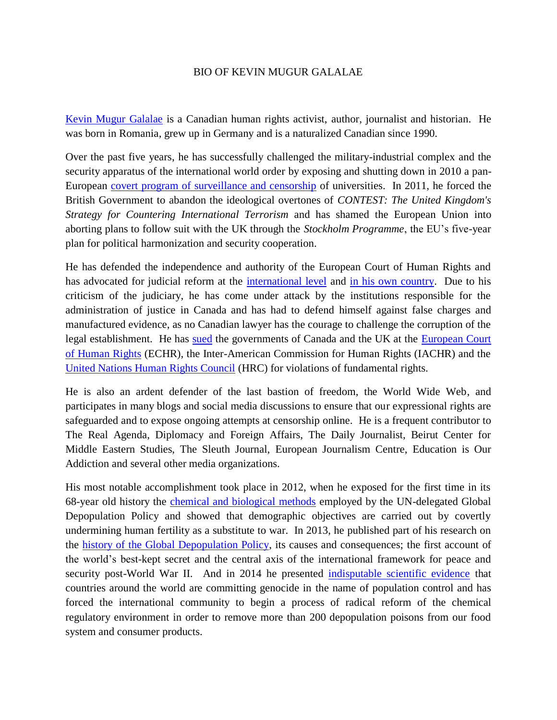## BIO OF KEVIN MUGUR GALALAE

[Kevin Mugur Galalae](http://www.linkedin.com/in/kevingalalae) is a Canadian human rights activist, author, journalist and historian. He was born in Romania, grew up in Germany and is a naturalized Canadian since 1990.

Over the past five years, he has successfully challenged the military-industrial complex and the security apparatus of the international world order by exposing and shutting down in 2010 a pan-European [covert program of surveillance and censorship](http://cryptome.org/0003/great-secret.pdf) of universities. In 2011, he forced the British Government to abandon the ideological overtones of *CONTEST: The United Kingdom's Strategy for Countering International Terrorism* and has shamed the European Union into aborting plans to follow suit with the UK through the *Stockholm Programme*, the EU's five-year plan for political harmonization and security cooperation.

He has defended the independence and authority of the European Court of Human Rights and has advocated for judicial reform at the [international level](http://www.academia.edu/4850629/THE_PEOPLES_DECLARATION_ON_RESTORING_THE_POWERS_OF_THE_EUROPEAN_COURT_OF_HUMAN_RIGHTS) and [in his own country.](http://www.academia.edu/2210135/In_Harpers_Canada) Due to his criticism of the judiciary, he has come under attack by the institutions responsible for the administration of justice in Canada and has had to defend himself against false charges and manufactured evidence, as no Canadian lawyer has the courage to challenge the corruption of the legal establishment. He has [sued](http://www.f4joz.com/public/PETITION%20BY%20KEVIN%20GALALAE%20TO%20THE%20UN%20HUMAN%20RIGHTS%20COMMITTEE.pdf) the governments of Canada and the UK at the European Court [of Human Rights](http://wikispooks.com/w/images/1/19/Kevin_Galalae_vs._the_United_Kingdom%2C_European_Court_of_Human_Rights.pdf) (ECHR), the Inter-American Commission for Human Rights (IACHR) and the [United Nations Human Rights Council](http://www.f4joz.com/public/PETITION%20BY%20KEVIN%20GALALAE%20TO%20THE%20UN%20HUMAN%20RIGHTS%20COMMITTEE.pdf) (HRC) for violations of fundamental rights.

He is also an ardent defender of the last bastion of freedom, the World Wide Web, and participates in many blogs and social media discussions to ensure that our expressional rights are safeguarded and to expose ongoing attempts at censorship online. He is a frequent contributor to The Real Agenda, Diplomacy and Foreign Affairs, The Daily Journalist, Beirut Center for Middle Eastern Studies, The Sleuth Journal, European Journalism Centre, Education is Our Addiction and several other media organizations.

His most notable accomplishment took place in 2012, when he exposed for the first time in its 68-year old history the [chemical and biological methods](http://www.academia.edu/4828262/CHEMICAL_AND_BIOLOGICAL_DEPOPULATION) employed by the UN-delegated Global Depopulation Policy and showed that demographic objectives are carried out by covertly undermining human fertility as a substitute to war. In 2013, he published part of his research on the [history of the Global Depopulation Policy,](http://www.academia.edu/4828041/KILLING_US_SOFTLY_CAUSES_AND_CONSEQUENCES_OF_THE_GLOBAL_DEPOPULATION_POLICY) its causes and consequences; the first account of the world's best-kept secret and the central axis of the international framework for peace and security post-World War II. And in 2014 he presented [indisputable scientific evidence](http://objects.liquidweb.services/depopulation/Peace%20Without%20Poison.pdf) that countries around the world are committing genocide in the name of population control and has forced the international community to begin a process of radical reform of the chemical regulatory environment in order to remove more than 200 depopulation poisons from our food system and consumer products.